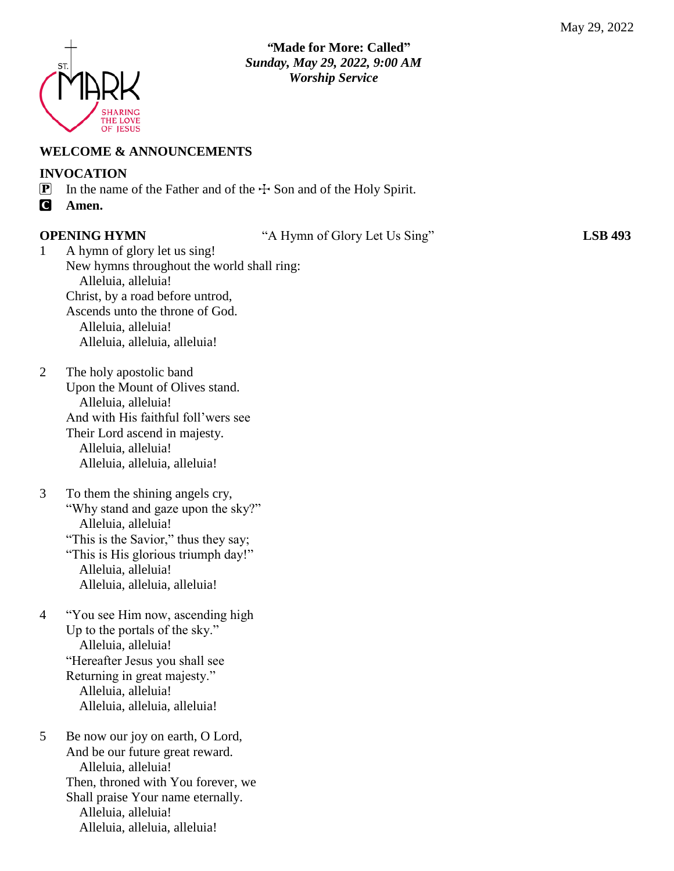

# *"***Made for More: Called"**  *Sunday, May 29, 2022, 9:00 AM Worship Service*

### **WELCOME & ANNOUNCEMENTS**

### **INVOCATION**

- **P** In the name of the Father and of the  $\div$  Son and of the Holy Spirit.
- C **Amen.**

**OPENING HYMN** "A Hymn of Glory Let Us Sing" **LSB 493**

- 1 A hymn of glory let us sing! New hymns throughout the world shall ring: Alleluia, alleluia! Christ, by a road before untrod, Ascends unto the throne of God. Alleluia, alleluia! Alleluia, alleluia, alleluia!
- 2 The holy apostolic band Upon the Mount of Olives stand. Alleluia, alleluia! And with His faithful foll'wers see Their Lord ascend in majesty. Alleluia, alleluia! Alleluia, alleluia, alleluia!
- 3 To them the shining angels cry, "Why stand and gaze upon the sky?" Alleluia, alleluia! "This is the Savior," thus they say; "This is His glorious triumph day!" Alleluia, alleluia! Alleluia, alleluia, alleluia!
- 4 "You see Him now, ascending high Up to the portals of the sky." Alleluia, alleluia! "Hereafter Jesus you shall see Returning in great majesty." Alleluia, alleluia! Alleluia, alleluia, alleluia!
- 5 Be now our joy on earth, O Lord, And be our future great reward. Alleluia, alleluia! Then, throned with You forever, we Shall praise Your name eternally. Alleluia, alleluia! Alleluia, alleluia, alleluia!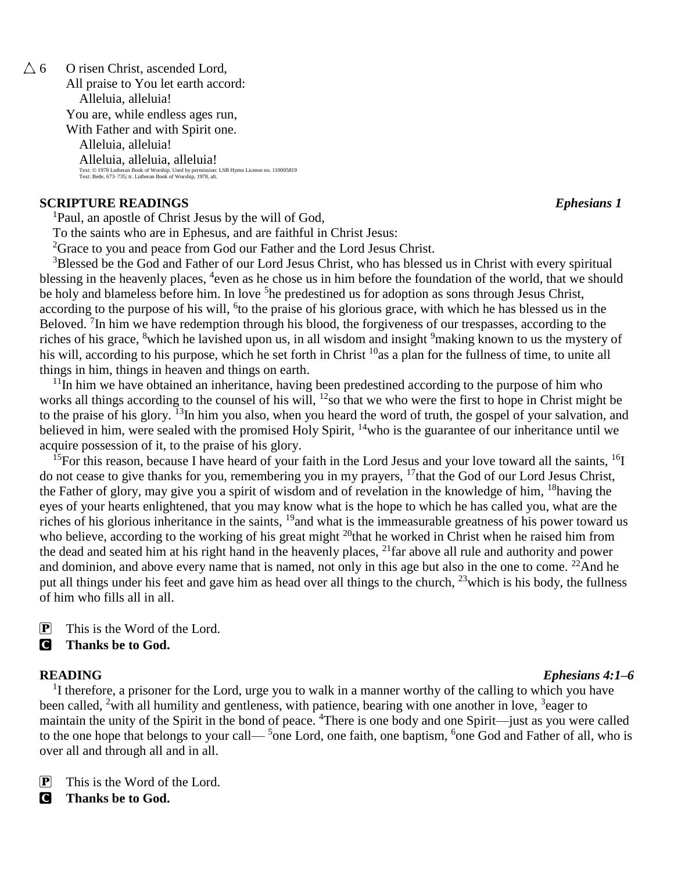$\triangle$  6 O risen Christ, ascended Lord, All praise to You let earth accord: Alleluia, alleluia! You are, while endless ages run, With Father and with Spirit one. Alleluia, alleluia! Alleluia, alleluia, alleluia! Text: © 1978 Lutheran Book of Worship. Used by permission: LSB Hymn License no. 110005819 Text: Bede, 673–735; tr. Lutheran Book of Worship, 1978, alt.

#### **SCRIPTURE READINGS** *Ephesians 1*

<sup>1</sup>Paul, an apostle of Christ Jesus by the will of God,

To the saints who are in Ephesus, and are faithful in Christ Jesus:

<sup>2</sup>Grace to you and peace from God our Father and the Lord Jesus Christ.

<sup>3</sup>Blessed be the God and Father of our Lord Jesus Christ, who has blessed us in Christ with every spiritual blessing in the heavenly places, <sup>4</sup>even as he chose us in him before the foundation of the world, that we should be holy and blameless before him. In love <sup>5</sup>he predestined us for adoption as sons through Jesus Christ, according to the purpose of his will, <sup>6</sup>to the praise of his glorious grace, with which he has blessed us in the Beloved.  ${}^{7}$ In him we have redemption through his blood, the forgiveness of our trespasses, according to the riches of his grace, <sup>8</sup>which he lavished upon us, in all wisdom and insight <sup>9</sup>making known to us the mystery of his will, according to his purpose, which he set forth in Christ <sup>10</sup>as a plan for the fullness of time, to unite all things in him, things in heaven and things on earth.

 $11$ In him we have obtained an inheritance, having been predestined according to the purpose of him who works all things according to the counsel of his will, <sup>12</sup>so that we who were the first to hope in Christ might be to the praise of his glory. <sup>13</sup>In him you also, when you heard the word of truth, the gospel of your salvation, and believed in him, were sealed with the promised Holy Spirit, <sup>14</sup>who is the guarantee of our inheritance until we acquire possession of it, to the praise of his glory.

<sup>15</sup>For this reason, because I have heard of your faith in the Lord Jesus and your love toward all the saints,  $^{16}I$ do not cease to give thanks for you, remembering you in my prayers, <sup>17</sup>that the God of our Lord Jesus Christ, the Father of glory, may give you a spirit of wisdom and of revelation in the knowledge of him, <sup>18</sup>having the eyes of your hearts enlightened, that you may know what is the hope to which he has called you, what are the riches of his glorious inheritance in the saints, <sup>19</sup> and what is the immeasurable greatness of his power toward us who believe, according to the working of his great might <sup>20</sup>that he worked in Christ when he raised him from the dead and seated him at his right hand in the heavenly places, <sup>21</sup>far above all rule and authority and power and dominion, and above every name that is named, not only in this age but also in the one to come.  $^{22}$ And he put all things under his feet and gave him as head over all things to the church,  $^{23}$  which is his body, the fullness of him who fills all in all.

 $\boxed{\mathbf{P}}$  This is the Word of the Lord.

### C **Thanks be to God.**

<sup>1</sup>I therefore, a prisoner for the Lord, urge you to walk in a manner worthy of the calling to which you have been called, <sup>2</sup>with all humility and gentleness, with patience, bearing with one another in love, <sup>3</sup>eager to maintain the unity of the Spirit in the bond of peace. <sup>4</sup>There is one body and one Spirit—just as you were called to the one hope that belongs to your call— $5$  one Lord, one faith, one baptism,  $5$  one God and Father of all, who is over all and through all and in all.

 $\boxed{\mathbf{P}}$  This is the Word of the Lord.

C **Thanks be to God.**

# **READING** *Ephesians 4:1–6*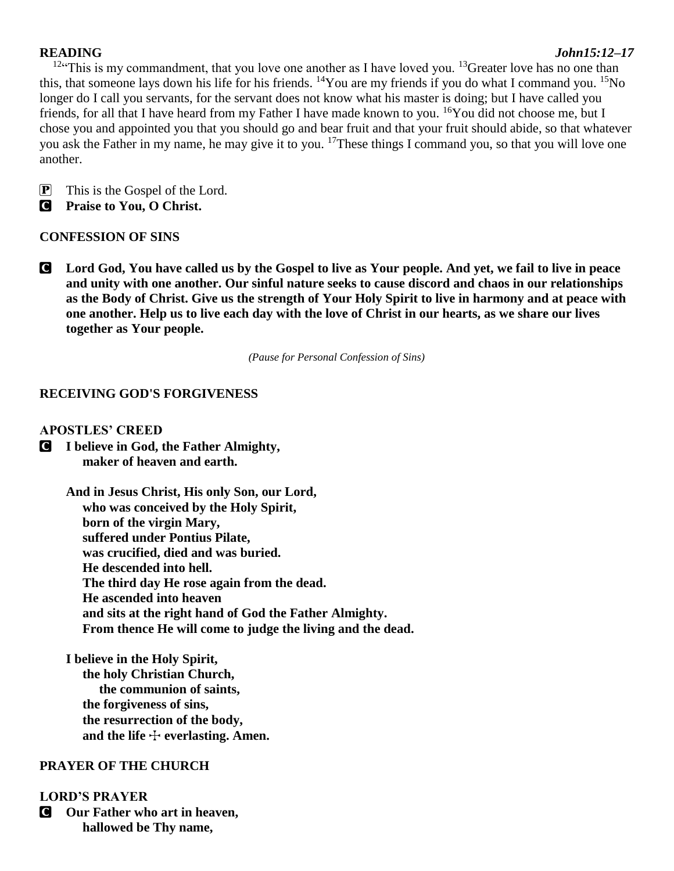#### **READING** *John15:12–17*

 $12$ "This is my commandment, that you love one another as I have loved you.  $13$ Greater love has no one than this, that someone lays down his life for his friends. <sup>14</sup>You are my friends if you do what I command you. <sup>15</sup>No longer do I call you servants, for the servant does not know what his master is doing; but I have called you friends, for all that I have heard from my Father I have made known to you. <sup>16</sup>You did not choose me, but I chose you and appointed you that you should go and bear fruit and that your fruit should abide, so that whatever you ask the Father in my name, he may give it to you. <sup>17</sup>These things I command you, so that you will love one another.

P This is the Gospel of the Lord.

C **Praise to You, O Christ.**

### **CONFESSION OF SINS**

C **Lord God, You have called us by the Gospel to live as Your people. And yet, we fail to live in peace and unity with one another. Our sinful nature seeks to cause discord and chaos in our relationships as the Body of Christ. Give us the strength of Your Holy Spirit to live in harmony and at peace with one another. Help us to live each day with the love of Christ in our hearts, as we share our lives together as Your people.** 

*(Pause for Personal Confession of Sins)*

# **RECEIVING GOD'S FORGIVENESS**

### **APOSTLES' CREED**

C **I believe in God, the Father Almighty, maker of heaven and earth.**

> **And in Jesus Christ, His only Son, our Lord, who was conceived by the Holy Spirit, born of the virgin Mary, suffered under Pontius Pilate, was crucified, died and was buried. He descended into hell. The third day He rose again from the dead. He ascended into heaven and sits at the right hand of God the Father Almighty. From thence He will come to judge the living and the dead.**

**I believe in the Holy Spirit, the holy Christian Church, the communion of saints, the forgiveness of sins, the resurrection of the body,** and the life  $+$  everlasting. Amen.

# **PRAYER OF THE CHURCH**

### **LORD'S PRAYER**

C **Our Father who art in heaven, hallowed be Thy name,**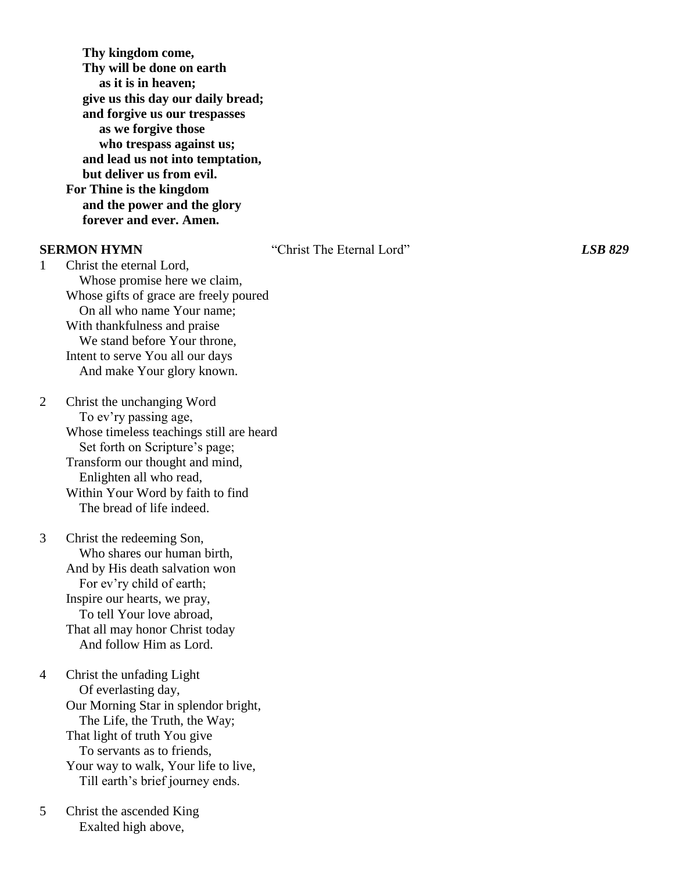**Thy kingdom come, Thy will be done on earth as it is in heaven; give us this day our daily bread; and forgive us our trespasses as we forgive those who trespass against us; and lead us not into temptation, but deliver us from evil. For Thine is the kingdom and the power and the glory forever and ever. Amen.**

**SERMON HYMN** "Christ The Eternal Lord"*LSB 829*

1 Christ the eternal Lord, Whose promise here we claim, Whose gifts of grace are freely poured On all who name Your name; With thankfulness and praise We stand before Your throne, Intent to serve You all our days And make Your glory known.

2 Christ the unchanging Word To ev'ry passing age, Whose timeless teachings still are heard Set forth on Scripture's page; Transform our thought and mind, Enlighten all who read, Within Your Word by faith to find The bread of life indeed.

3 Christ the redeeming Son, Who shares our human birth, And by His death salvation won For ev'ry child of earth; Inspire our hearts, we pray, To tell Your love abroad, That all may honor Christ today And follow Him as Lord.

4 Christ the unfading Light Of everlasting day, Our Morning Star in splendor bright, The Life, the Truth, the Way; That light of truth You give To servants as to friends, Your way to walk, Your life to live, Till earth's brief journey ends.

5 Christ the ascended King Exalted high above,